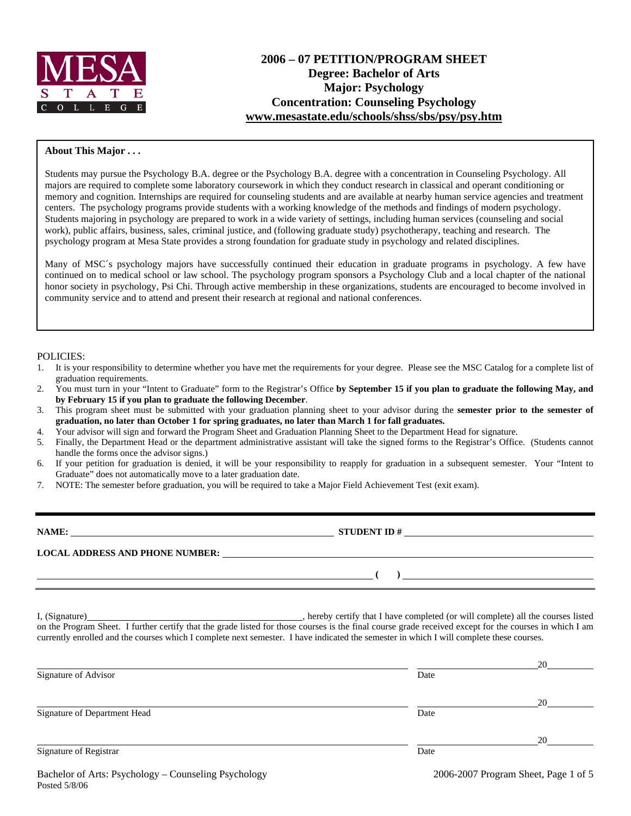

# **2006 – 07 PETITION/PROGRAM SHEET Degree: Bachelor of Arts Major: Psychology Concentration: Counseling Psychology [www.mesastate.edu/schools/shss/sbs/psy/psy.htm](http://www.mesastate.edu/schools/shss/sbs/psy/psy.htm)**

#### **About This Major . . .**

Students may pursue the Psychology B.A. degree or the Psychology B.A. degree with a concentration in Counseling Psychology. All majors are required to complete some laboratory coursework in which they conduct research in classical and operant conditioning or memory and cognition. Internships are required for counseling students and are available at nearby human service agencies and treatment centers. The psychology programs provide students with a working knowledge of the methods and findings of modern psychology. Students majoring in psychology are prepared to work in a wide variety of settings, including human services (counseling and social work), public affairs, business, sales, criminal justice, and (following graduate study) psychotherapy, teaching and research. The psychology program at Mesa State provides a strong foundation for graduate study in psychology and related disciplines.

Many of MSC´s psychology majors have successfully continued their education in graduate programs in psychology. A few have continued on to medical school or law school. The psychology program sponsors a Psychology Club and a local chapter of the national honor society in psychology, Psi Chi. Through active membership in these organizations, students are encouraged to become involved in community service and to attend and present their research at regional and national conferences.

#### POLICIES:

- 1. It is your responsibility to determine whether you have met the requirements for your degree. Please see the MSC Catalog for a complete list of graduation requirements.
- 2. You must turn in your "Intent to Graduate" form to the Registrar's Office **by September 15 if you plan to graduate the following May, and by February 15 if you plan to graduate the following December**.
- 3. This program sheet must be submitted with your graduation planning sheet to your advisor during the **semester prior to the semester of graduation, no later than October 1 for spring graduates, no later than March 1 for fall graduates.**
- 4. Your advisor will sign and forward the Program Sheet and Graduation Planning Sheet to the Department Head for signature.
- 5. Finally, the Department Head or the department administrative assistant will take the signed forms to the Registrar's Office. (Students cannot handle the forms once the advisor signs.)
- 6. If your petition for graduation is denied, it will be your responsibility to reapply for graduation in a subsequent semester. Your "Intent to Graduate" does not automatically move to a later graduation date.
- 7. NOTE: The semester before graduation, you will be required to take a Major Field Achievement Test (exit exam).

| NAME:                                  | <b>STUDENT ID#</b> |  |
|----------------------------------------|--------------------|--|
| <b>LOCAL ADDRESS AND PHONE NUMBER:</b> |                    |  |
|                                        |                    |  |

I, (Signature) , hereby certify that I have completed (or will complete) all the courses listed on the Program Sheet. I further certify that the grade listed for those courses is the final course grade received except for the courses in which I am currently enrolled and the courses which I complete next semester. I have indicated the semester in which I will complete these courses.

|      | 20 |
|------|----|
| Date |    |
|      | 20 |
| Date |    |
|      | 20 |
| Date |    |
|      |    |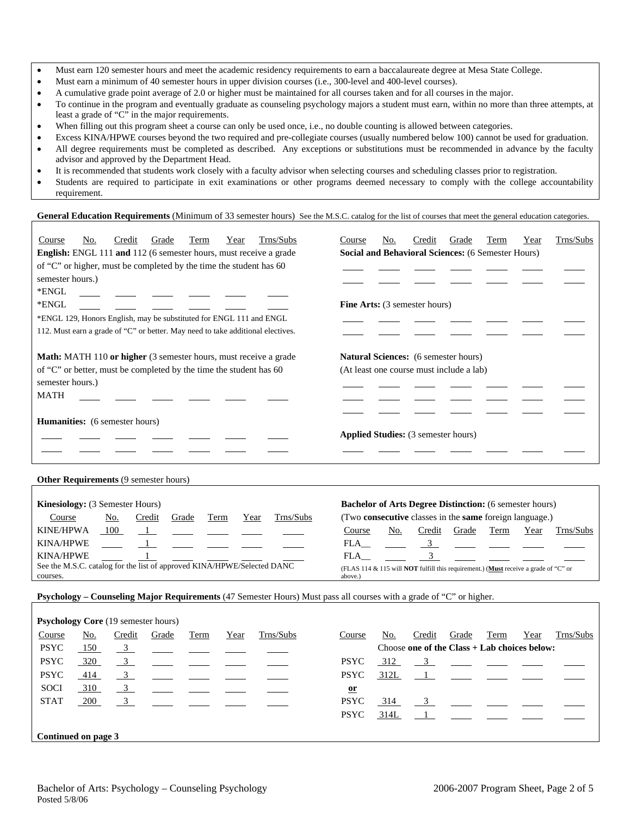- Must earn 120 semester hours and meet the academic residency requirements to earn a baccalaureate degree at Mesa State College.
- Must earn a minimum of 40 semester hours in upper division courses (i.e., 300-level and 400-level courses).
- A cumulative grade point average of 2.0 or higher must be maintained for all courses taken and for all courses in the major.
- To continue in the program and eventually graduate as counseling psychology majors a student must earn, within no more than three attempts, at least a grade of "C" in the major requirements.
- When filling out this program sheet a course can only be used once, i.e., no double counting is allowed between categories.
- Excess KINA/HPWE courses beyond the two required and pre-collegiate courses (usually numbered below 100) cannot be used for graduation.
- All degree requirements must be completed as described. Any exceptions or substitutions must be recommended in advance by the faculty advisor and approved by the Department Head.
- It is recommended that students work closely with a faculty advisor when selecting courses and scheduling classes prior to registration.
- Students are required to participate in exit examinations or other programs deemed necessary to comply with the college accountability requirement.

### **General Education Requirements** (Minimum of 33 semester hours) See the M.S.C. catalog for the list of courses that meet the general education categories.

| Trns/Subs<br>Credit<br>Grade<br>Term<br>No.<br>Year<br>Course<br>English: ENGL 111 and 112 (6 semester hours, must receive a grade                                                                                        | Trns/Subs<br>Grade<br>Term<br>Year<br>No.<br>Credit<br>Course<br>Social and Behavioral Sciences: (6 Semester Hours)                   |
|---------------------------------------------------------------------------------------------------------------------------------------------------------------------------------------------------------------------------|---------------------------------------------------------------------------------------------------------------------------------------|
| of "C" or higher, must be completed by the time the student has 60                                                                                                                                                        |                                                                                                                                       |
| semester hours.)                                                                                                                                                                                                          |                                                                                                                                       |
| *ENGL                                                                                                                                                                                                                     |                                                                                                                                       |
| *ENGL                                                                                                                                                                                                                     | <b>Fine Arts:</b> (3 semester hours)                                                                                                  |
| *ENGL 129, Honors English, may be substituted for ENGL 111 and ENGL                                                                                                                                                       |                                                                                                                                       |
| 112. Must earn a grade of "C" or better. May need to take additional electives.                                                                                                                                           |                                                                                                                                       |
| <b>Math:</b> MATH 110 or higher (3 semester hours, must receive a grade<br>of "C" or better, must be completed by the time the student has 60<br>semester hours.)<br><b>MATH</b><br><b>Humanities:</b> (6 semester hours) | <b>Natural Sciences:</b> (6 semester hours)<br>(At least one course must include a lab)<br><b>Applied Studies:</b> (3 semester hours) |
| Other Requirements (9 semester hours)                                                                                                                                                                                     |                                                                                                                                       |
| Kinesiology: (3 Semester Hours)<br>Trns/Subs<br>Course<br>Credit<br>Grade<br>Term<br>Year<br>No.                                                                                                                          | <b>Bachelor of Arts Degree Distinction:</b> (6 semester hours)<br>(Two consecutive classes in the same foreign language.)             |
| <b>KINE/HPWA</b><br>100                                                                                                                                                                                                   | No.<br>Credit<br>Grade<br>Term<br>Trns/Subs<br>Year<br>Course                                                                         |
| <b>KINA/HPWE</b>                                                                                                                                                                                                          | FLA<br>$\overline{3}$                                                                                                                 |

KINA/HPWE  $\frac{1}{\sqrt{2}}$   $\frac{1}{\sqrt{2}}$   $\frac{1}{\sqrt{2}}$   $\frac{1}{\sqrt{2}}$   $\frac{1}{\sqrt{2}}$   $\frac{1}{\sqrt{2}}$   $\frac{1}{\sqrt{2}}$   $\frac{1}{\sqrt{2}}$   $\frac{1}{\sqrt{2}}$   $\frac{1}{\sqrt{2}}$   $\frac{1}{\sqrt{2}}$   $\frac{1}{\sqrt{2}}$   $\frac{1}{\sqrt{2}}$   $\frac{1}{\sqrt{2}}$   $\frac{1}{\sqrt{2}}$   $\frac{1}{\sqrt{2}}$   $\frac$ See the M.S.C. catalog for the list of approved KINA/HPWE/Selected DANC See the M.S.C. catalog for the list of approved KINA/HPWE/Selected DANC (FLAS 114 & 115 will **NOT** fulfill this requirement.) (Must receive a grade of "C" or courses.

above.)

**Psychology – Counseling Major Requirements** (47 Semester Hours) Must pass all courses with a grade of "C" or higher.

|                     |     | <b>Psychology Core</b> (19 semester hours) |       |      |      |           |              |      |                                                |       |                |      |           |
|---------------------|-----|--------------------------------------------|-------|------|------|-----------|--------------|------|------------------------------------------------|-------|----------------|------|-----------|
| Course              | No. | Credit                                     | Grade | Term | Year | Trns/Subs | Course       | No.  | Credit                                         | Grade | Term           | Year | Trns/Subs |
| <b>PSYC</b>         | 150 | $\frac{3}{2}$                              |       |      |      |           |              |      | Choose one of the Class $+$ Lab choices below: |       |                |      |           |
| <b>PSYC</b>         | 320 | $\frac{3}{2}$                              |       |      |      |           | <b>PSYC</b>  | 312  |                                                |       | $\overline{3}$ |      |           |
| <b>PSYC</b>         | 414 | $\frac{3}{2}$                              |       |      |      |           | <b>PSYC</b>  | 312L |                                                |       |                |      |           |
| <b>SOCI</b>         | 310 | $\frac{3}{2}$                              |       |      |      |           | $\mathbf{u}$ |      |                                                |       |                |      |           |
| <b>STAT</b>         | 200 | 3                                          |       |      |      |           | <b>PSYC</b>  | 314  |                                                |       |                |      |           |
|                     |     |                                            |       |      |      |           | <b>PSYC</b>  | 314L |                                                |       |                |      |           |
| Continued on page 3 |     |                                            |       |      |      |           |              |      |                                                |       |                |      |           |
|                     |     |                                            |       |      |      |           |              |      |                                                |       |                |      |           |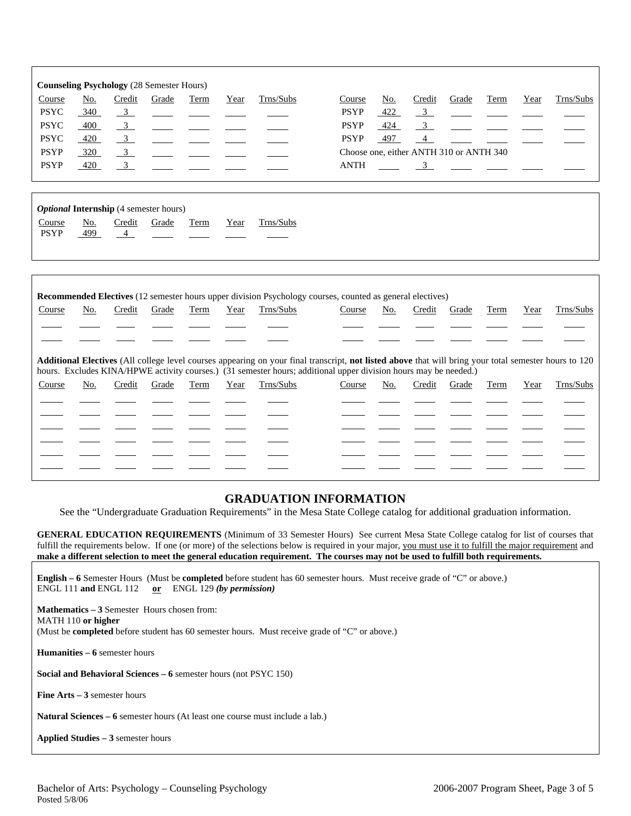| Course      | No. | <b>Counseling Psychology</b> (28 Semester Hours)<br>Credit | Grade | Term | Year | Trns/Subs                                                                                                                                                                                                                                                                        | Course      | No. | Credit                                  | Grade                                     | Term | Year | Trns/Subs |
|-------------|-----|------------------------------------------------------------|-------|------|------|----------------------------------------------------------------------------------------------------------------------------------------------------------------------------------------------------------------------------------------------------------------------------------|-------------|-----|-----------------------------------------|-------------------------------------------|------|------|-----------|
| <b>PSYC</b> | 340 | $\overline{3}$                                             |       |      |      |                                                                                                                                                                                                                                                                                  | <b>PSYP</b> | 422 | $\overline{\mathbf{3}}$                 |                                           |      |      |           |
| <b>PSYC</b> | 400 | $\frac{3}{2}$                                              |       |      |      |                                                                                                                                                                                                                                                                                  | <b>PSYP</b> | 424 | 3 <sup>1</sup>                          |                                           |      |      |           |
| <b>PSYC</b> | 420 | $\overline{3}$                                             |       |      |      |                                                                                                                                                                                                                                                                                  | <b>PSYP</b> | 497 | $\overline{4}$                          |                                           |      |      |           |
| <b>PSYP</b> | 320 | $\overline{3}$                                             |       |      |      |                                                                                                                                                                                                                                                                                  |             |     | Choose one, either ANTH 310 or ANTH 340 |                                           |      |      |           |
| <b>PSYP</b> | 420 | $\frac{3}{2}$                                              |       |      |      |                                                                                                                                                                                                                                                                                  | <b>ANTH</b> |     |                                         | $\frac{3}{2}$ $\frac{1}{2}$ $\frac{1}{2}$ |      |      |           |
|             |     |                                                            |       |      |      |                                                                                                                                                                                                                                                                                  |             |     |                                         |                                           |      |      |           |
|             |     | <b>Optional Internship</b> (4 semester hours)              |       |      |      |                                                                                                                                                                                                                                                                                  |             |     |                                         |                                           |      |      |           |
| Course      | No. | Credit                                                     | Grade | Term | Year | Trns/Subs                                                                                                                                                                                                                                                                        |             |     |                                         |                                           |      |      |           |
| <b>PSYP</b> | 499 | $\overline{4}$                                             |       |      |      |                                                                                                                                                                                                                                                                                  |             |     |                                         |                                           |      |      |           |
|             |     |                                                            |       |      |      |                                                                                                                                                                                                                                                                                  |             |     |                                         |                                           |      |      |           |
|             |     |                                                            |       |      |      |                                                                                                                                                                                                                                                                                  |             |     |                                         |                                           |      |      |           |
|             |     |                                                            |       |      |      | <b>Recommended Electives</b> (12 semester hours upper division Psychology courses, counted as general electives)                                                                                                                                                                 |             |     |                                         |                                           |      |      |           |
| Course      | No. | Credit                                                     | Grade | Term | Year | Trns/Subs                                                                                                                                                                                                                                                                        | Course      | No. | Credit                                  | Grade                                     | Term | Year | Trns/Subs |
|             |     |                                                            |       |      |      |                                                                                                                                                                                                                                                                                  |             |     |                                         |                                           |      |      |           |
|             |     |                                                            |       |      |      |                                                                                                                                                                                                                                                                                  |             |     |                                         |                                           |      |      |           |
|             |     |                                                            |       |      |      |                                                                                                                                                                                                                                                                                  |             |     |                                         |                                           |      |      |           |
|             |     |                                                            |       |      |      | <b>Additional Electives</b> (All college level courses appearing on your final transcript, not listed above that will bring your total semester hours to 120<br>hours. Excludes KINA/HPWE activity courses.) (31 semester hours; additional upper division hours may be needed.) |             |     |                                         |                                           |      |      |           |
| Course      | No. | Credit                                                     | Grade | Term | Year | Trns/Subs                                                                                                                                                                                                                                                                        | Course      | No. | Credit                                  | Grade                                     | Term | Year | Trns/Subs |
|             |     |                                                            |       |      |      |                                                                                                                                                                                                                                                                                  |             |     |                                         |                                           |      |      |           |
|             |     |                                                            |       |      |      |                                                                                                                                                                                                                                                                                  |             |     |                                         |                                           |      |      |           |

|  |  |  | والمستور وستوا ستوار سيسو المراد المستور والمستور المستور المستور المستور |                                                 |  |  |  |
|--|--|--|---------------------------------------------------------------------------|-------------------------------------------------|--|--|--|
|  |  |  |                                                                           |                                                 |  |  |  |
|  |  |  |                                                                           |                                                 |  |  |  |
|  |  |  |                                                                           |                                                 |  |  |  |
|  |  |  |                                                                           | <u> 1980 - Andrea Maria Alemania (h. 1974).</u> |  |  |  |

# **GRADUATION INFORMATION**

See the "Undergraduate Graduation Requirements" in the Mesa State College catalog for additional graduation information.

**GENERAL EDUCATION REQUIREMENTS** (Minimum of 33 Semester Hours) See current Mesa State College catalog for list of courses that fulfill the requirements below. If one (or more) of the selections below is required in your major, you must use it to fulfill the major requirement and **make a different selection to meet the general education requirement. The courses may not be used to fulfill both requirements.**

**English – 6** Semester Hours (Must be **completed** before student has 60 semester hours. Must receive grade of "C" or above.) ENGL 111 **and** ENGL 112 **or** ENGL 129 *(by permission)*

**Mathematics – 3** Semester Hours chosen from: MATH 110 **or higher** (Must be **completed** before student has 60 semester hours. Must receive grade of "C" or above.)

**Humanities – 6** semester hours

**Social and Behavioral Sciences – 6** semester hours (not PSYC 150)

**Fine Arts – 3** semester hours

**Natural Sciences – 6** semester hours (At least one course must include a lab.)

**Applied Studies – 3** semester hours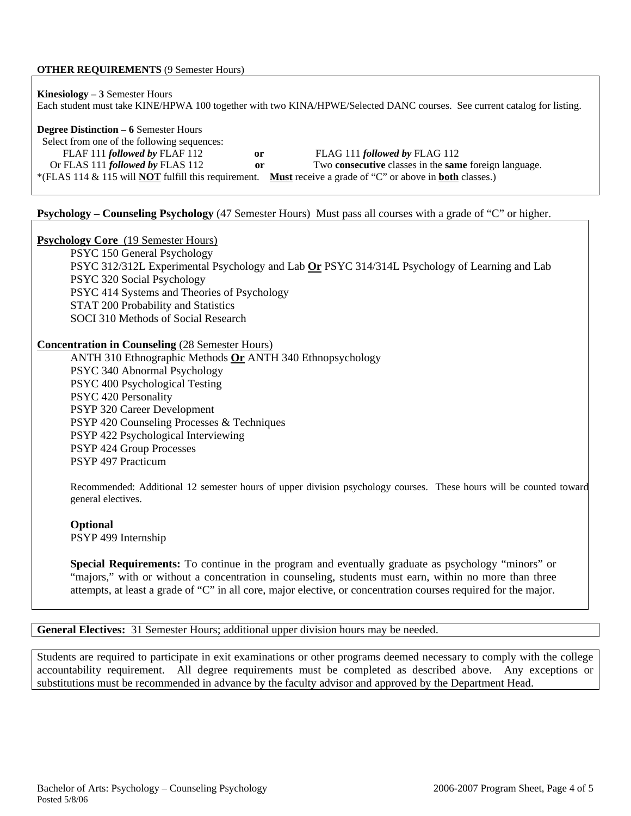### **OTHER REQUIREMENTS** (9 Semester Hours)

**Kinesiology – 3** Semester Hours Each student must take KINE/HPWA 100 together with two KINA/HPWE/Selected DANC courses. See current catalog for listing.

**Degree Distinction – 6** Semester Hours

 Select from one of the following sequences: FLAF 111 *followed by* FLAF 112 **or** FLAG 111 *followed by* FLAG 112 Or FLAS 111 *followed by* FLAS 112 **or** Two **consecutive** classes in the **same** foreign language. \*(FLAS 114 & 115 will **NOT** fulfill this requirement. **Must** receive a grade of "C" or above in **both** classes.)

### **Psychology – Counseling Psychology** (47 Semester Hours) Must pass all courses with a grade of "C" or higher.

**Psychology Core** (19 Semester Hours)

PSYC 150 General Psychology PSYC 312/312L Experimental Psychology and Lab **Or** PSYC 314/314L Psychology of Learning and Lab PSYC 320 Social Psychology PSYC 414 Systems and Theories of Psychology STAT 200 Probability and Statistics SOCI 310 Methods of Social Research

### **Concentration in Counseling** (28 Semester Hours)

ANTH 310 Ethnographic Methods **Or** ANTH 340 Ethnopsychology PSYC 340 Abnormal Psychology PSYC 400 Psychological Testing PSYC 420 Personality PSYP 320 Career Development PSYP 420 Counseling Processes & Techniques PSYP 422 Psychological Interviewing PSYP 424 Group Processes PSYP 497 Practicum

Recommended: Additional 12 semester hours of upper division psychology courses. These hours will be counted toward general electives.

#### **Optional**

PSYP 499 Internship

**Special Requirements:** To continue in the program and eventually graduate as psychology "minors" or "majors," with or without a concentration in counseling, students must earn, within no more than three attempts, at least a grade of "C" in all core, major elective, or concentration courses required for the major.

**General Electives:** 31 Semester Hours; additional upper division hours may be needed.

Students are required to participate in exit examinations or other programs deemed necessary to comply with the college accountability requirement. All degree requirements must be completed as described above. Any exceptions or substitutions must be recommended in advance by the faculty advisor and approved by the Department Head.